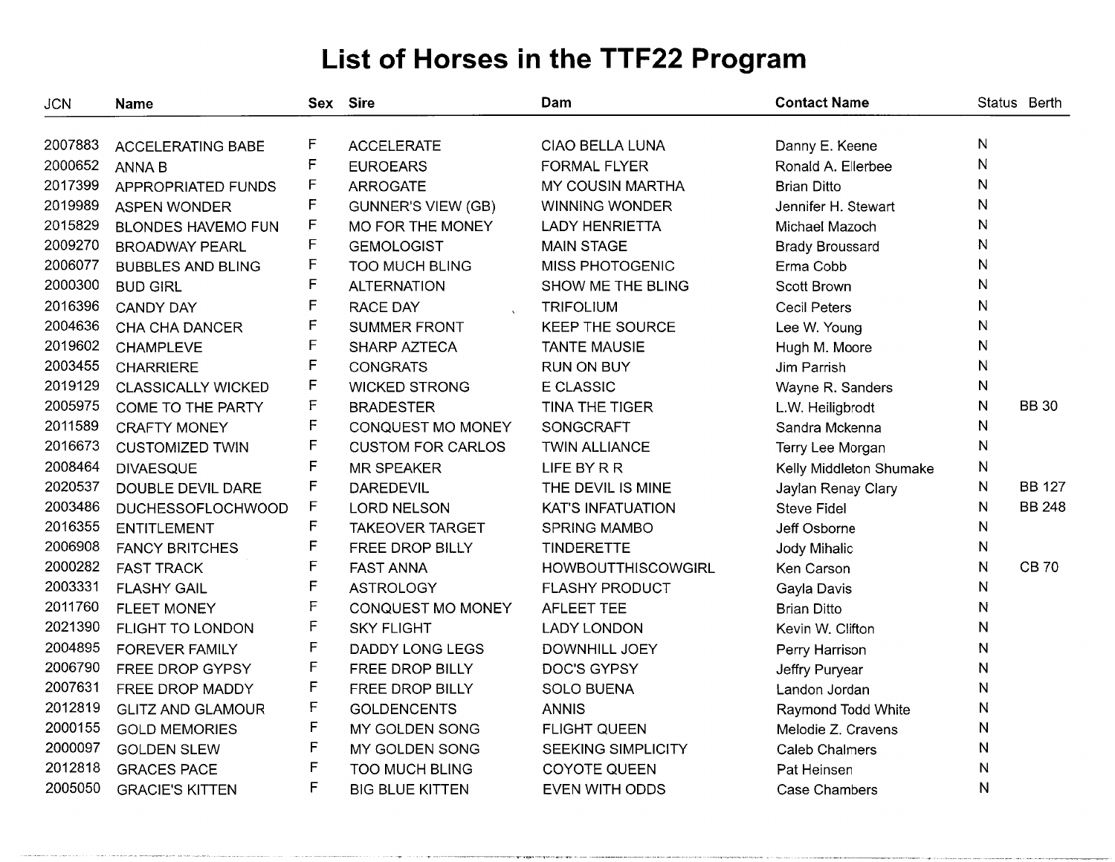| <b>JCN</b> | <b>Name</b>               |              | Sex Sire                  | Dam                       | <b>Contact Name</b>     |              | Status Berth  |
|------------|---------------------------|--------------|---------------------------|---------------------------|-------------------------|--------------|---------------|
| 2007883    |                           | F            |                           |                           |                         | N            |               |
| 2000652    | <b>ACCELERATING BABE</b>  | $\mathsf F$  | <b>ACCELERATE</b>         | CIAO BELLA LUNA           | Danny E. Keene          | N            |               |
|            | <b>ANNA B</b>             | F            | <b>EUROEARS</b>           | <b>FORMAL FLYER</b>       | Ronald A. Ellerbee      |              |               |
| 2017399    | APPROPRIATED FUNDS        | F            | <b>ARROGATE</b>           | <b>MY COUSIN MARTHA</b>   | <b>Brian Ditto</b>      | N            |               |
| 2019989    | <b>ASPEN WONDER</b>       |              | <b>GUNNER'S VIEW (GB)</b> | <b>WINNING WONDER</b>     | Jennifer H. Stewart     | N            |               |
| 2015829    | <b>BLONDES HAVEMO FUN</b> | F            | MO FOR THE MONEY          | <b>LADY HENRIETTA</b>     | Michael Mazoch          | N            |               |
| 2009270    | <b>BROADWAY PEARL</b>     | F            | <b>GEMOLOGIST</b>         | <b>MAIN STAGE</b>         | <b>Brady Broussard</b>  | N            |               |
| 2006077    | <b>BUBBLES AND BLING</b>  | $\mathsf F$  | <b>TOO MUCH BLING</b>     | MISS PHOTOGENIC           | Erma Cobb               | N            |               |
| 2000300    | <b>BUD GIRL</b>           | F            | <b>ALTERNATION</b>        | SHOW ME THE BLING         | Scott Brown             | N            |               |
| 2016396    | <b>CANDY DAY</b>          | F            | <b>RACE DAY</b>           | <b>TRIFOLIUM</b>          | Cecil Peters            | N            |               |
| 2004636    | CHA CHA DANCER            | $\mathsf F$  | <b>SUMMER FRONT</b>       | <b>KEEP THE SOURCE</b>    | Lee W. Young            | $\mathsf{N}$ |               |
| 2019602    | <b>CHAMPLEVE</b>          | F            | SHARP AZTECA              | <b>TANTE MAUSIE</b>       | Hugh M. Moore           | N            |               |
| 2003455    | <b>CHARRIERE</b>          | F            | <b>CONGRATS</b>           | <b>RUN ON BUY</b>         | Jim Parrish             | N            |               |
| 2019129    | <b>CLASSICALLY WICKED</b> | F            | <b>WICKED STRONG</b>      | <b>E CLASSIC</b>          | Wayne R. Sanders        | N            |               |
| 2005975    | COME TO THE PARTY         | $\mathsf F$  | <b>BRADESTER</b>          | TINA THE TIGER            | L.W. Heiligbrodt        | N            | <b>BB 30</b>  |
| 2011589    | <b>CRAFTY MONEY</b>       | F            | CONQUEST MO MONEY         | SONGCRAFT                 | Sandra Mckenna          | N            |               |
| 2016673    | <b>CUSTOMIZED TWIN</b>    | F            | <b>CUSTOM FOR CARLOS</b>  | <b>TWIN ALLIANCE</b>      | Terry Lee Morgan        | N            |               |
| 2008464    | <b>DIVAESQUE</b>          | F            | <b>MR SPEAKER</b>         | LIFE BY R R               | Kelly Middleton Shumake | N            |               |
| 2020537    | DOUBLE DEVIL DARE         | F            | <b>DAREDEVIL</b>          | THE DEVIL IS MINE         | Jaylan Renay Clary      | N            | <b>BB 127</b> |
| 2003486    | <b>DUCHESSOFLOCHWOOD</b>  | F            | <b>LORD NELSON</b>        | <b>KAT'S INFATUATION</b>  | <b>Steve Fidel</b>      | N            | <b>BB 248</b> |
| 2016355    | <b>ENTITLEMENT</b>        | F            | <b>TAKEOVER TARGET</b>    | <b>SPRING MAMBO</b>       | Jeff Osborne            | N            |               |
| 2006908    | <b>FANCY BRITCHES</b>     | F            | FREE DROP BILLY           | <b>TINDERETTE</b>         | Jody Mihalic            | N            |               |
| 2000282    | <b>FAST TRACK</b>         | F            | <b>FAST ANNA</b>          | <b>HOWBOUTTHISCOWGIRL</b> | Ken Carson              | N            | <b>CB70</b>   |
| 2003331    | <b>FLASHY GAIL</b>        | $\mathsf{F}$ | <b>ASTROLOGY</b>          | <b>FLASHY PRODUCT</b>     | Gayla Davis             | N            |               |
| 2011760    | <b>FLEET MONEY</b>        | F            | CONQUEST MO MONEY         | <b>AFLEET TEE</b>         | <b>Brian Ditto</b>      | N            |               |
| 2021390    | FLIGHT TO LONDON          | F            | <b>SKY FLIGHT</b>         | <b>LADY LONDON</b>        | Kevin W. Clifton        | ${\sf N}$    |               |
| 2004895    | <b>FOREVER FAMILY</b>     | F            | <b>DADDY LONG LEGS</b>    | DOWNHILL JOEY             | Perry Harrison          | N            |               |
| 2006790    | FREE DROP GYPSY           | F            | FREE DROP BILLY           | <b>DOC'S GYPSY</b>        | Jeffry Puryear          | N            |               |
| 2007631    | FREE DROP MADDY           | F            | FREE DROP BILLY           | <b>SOLO BUENA</b>         | Landon Jordan           | N            |               |
| 2012819    | <b>GLITZ AND GLAMOUR</b>  | F            | <b>GOLDENCENTS</b>        | <b>ANNIS</b>              | Raymond Todd White      | N            |               |
| 2000155    | <b>GOLD MEMORIES</b>      | F            | MY GOLDEN SONG            | <b>FLIGHT QUEEN</b>       | Melodie Z. Cravens      | N            |               |
| 2000097    | <b>GOLDEN SLEW</b>        | F            | MY GOLDEN SONG            | SEEKING SIMPLICITY        | <b>Caleb Chalmers</b>   | N            |               |
| 2012818    | <b>GRACES PACE</b>        | F            | <b>TOO MUCH BLING</b>     | <b>COYOTE QUEEN</b>       | Pat Heinsen             | N            |               |
| 2005050    | <b>GRACIE'S KITTEN</b>    | F            | <b>BIG BLUE KITTEN</b>    | EVEN WITH ODDS            | <b>Case Chambers</b>    | N            |               |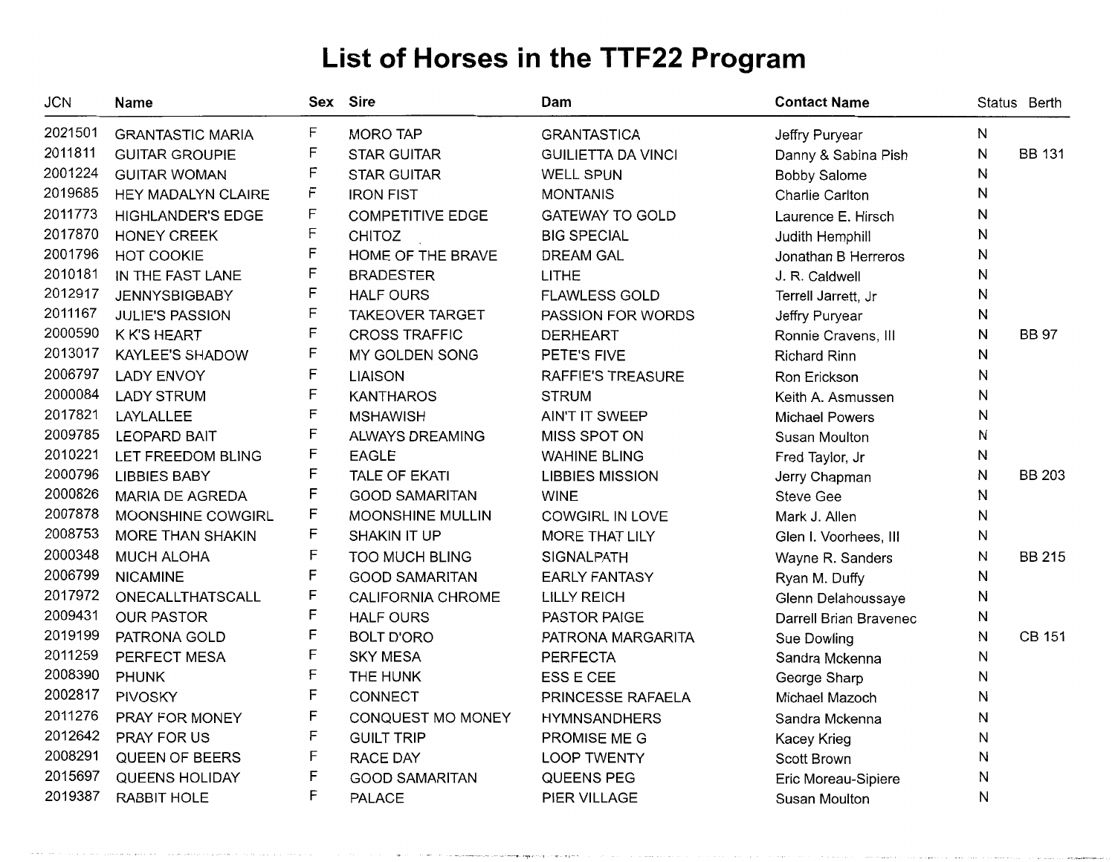| JCN     | Name                     |   | Sex Sire                 | Dam                       | <b>Contact Name</b>    |   | Status Berth  |
|---------|--------------------------|---|--------------------------|---------------------------|------------------------|---|---------------|
| 2021501 | <b>GRANTASTIC MARIA</b>  | F | <b>MORO TAP</b>          | <b>GRANTASTICA</b>        | Jeffry Puryear         | Ν |               |
| 2011811 | <b>GUITAR GROUPIE</b>    | F | <b>STAR GUITAR</b>       | <b>GUILIETTA DA VINCI</b> | Danny & Sabina Pish    | Ν | <b>BB 131</b> |
| 2001224 | <b>GUITAR WOMAN</b>      | F | <b>STAR GUITAR</b>       | <b>WELL SPUN</b>          | <b>Bobby Salome</b>    | Ν |               |
| 2019685 | HEY MADALYN CLAIRE       | F | <b>IRON FIST</b>         | <b>MONTANIS</b>           | Charlie Carlton        | Ν |               |
| 2011773 | <b>HIGHLANDER'S EDGE</b> | F | <b>COMPETITIVE EDGE</b>  | <b>GATEWAY TO GOLD</b>    | Laurence E. Hirsch     | Ν |               |
| 2017870 | <b>HONEY CREEK</b>       | F | CHITOZ                   | <b>BIG SPECIAL</b>        | Judith Hemphill        | И |               |
| 2001796 | HOT COOKIE               | F | HOME OF THE BRAVE        | <b>DREAM GAL</b>          | Jonathan B Herreros    | N |               |
| 2010181 | IN THE FAST LANE         | F | <b>BRADESTER</b>         | <b>LITHE</b>              | J. R. Caldwell         | N |               |
| 2012917 | <b>JENNYSBIGBABY</b>     | F | <b>HALF OURS</b>         | <b>FLAWLESS GOLD</b>      | Terrell Jarrett, Jr    | Ν |               |
| 2011167 | <b>JULIE'S PASSION</b>   | F | <b>TAKEOVER TARGET</b>   | PASSION FOR WORDS         | Jeffry Puryear         | Ν |               |
| 2000590 | K K'S HEART              | F | <b>CROSS TRAFFIC</b>     | <b>DERHEART</b>           | Ronnie Cravens, III    | N | <b>BB 97</b>  |
| 2013017 | <b>KAYLEE'S SHADOW</b>   | F | MY GOLDEN SONG           | PETE'S FIVE               | <b>Richard Rinn</b>    | N |               |
| 2006797 | <b>LADY ENVOY</b>        | F | <b>LIAISON</b>           | RAFFIE'S TREASURE         | Ron Erickson           | Ν |               |
| 2000084 | <b>LADY STRUM</b>        | F | <b>KANTHAROS</b>         | <b>STRUM</b>              | Keith A. Asmussen      | Ν |               |
| 2017821 | LAYLALLEE                | F | <b>MSHAWISH</b>          | AIN'T IT SWEEP            | <b>Michael Powers</b>  | Ν |               |
| 2009785 | <b>LEOPARD BAIT</b>      | F | ALWAYS DREAMING          | MISS SPOT ON              | Susan Moulton          | N |               |
| 2010221 | LET FREEDOM BLING        | F | <b>EAGLE</b>             | <b>WAHINE BLING</b>       | Fred Taylor, Jr        | Ν |               |
| 2000796 | <b>LIBBIES BABY</b>      | F | <b>TALE OF EKATI</b>     | <b>LIBBIES MISSION</b>    | Jerry Chapman          | N | <b>BB 203</b> |
| 2000826 | <b>MARIA DE AGREDA</b>   | F | <b>GOOD SAMARITAN</b>    | <b>WINE</b>               | <b>Steve Gee</b>       | Ν |               |
| 2007878 | MOONSHINE COWGIRL        | F | <b>MOONSHINE MULLIN</b>  | <b>COWGIRL IN LOVE</b>    | Mark J. Allen          | N |               |
| 2008753 | MORE THAN SHAKIN         | F | <b>SHAKIN IT UP</b>      | MORE THAT LILY            | Glen I. Voorhees, III  | N |               |
| 2000348 | <b>MUCH ALOHA</b>        | F | <b>TOO MUCH BLING</b>    | SIGNALPATH                | Wayne R. Sanders       | Ν | <b>BB 215</b> |
| 2006799 | <b>NICAMINE</b>          | F | <b>GOOD SAMARITAN</b>    | <b>EARLY FANTASY</b>      | Ryan M. Duffy          | Ν |               |
| 2017972 | ONECALLTHATSCALL         | F | <b>CALIFORNIA CHROME</b> | <b>LILLY REICH</b>        | Glenn Delahoussaye     | Ν |               |
| 2009431 | <b>OUR PASTOR</b>        | F | <b>HALF OURS</b>         | PASTOR PAIGE              | Darrell Brian Bravenec | Ν |               |
| 2019199 | PATRONA GOLD             | F | <b>BOLT D'ORO</b>        | PATRONA MARGARITA         | Sue Dowling            | N | CB 151        |
| 2011259 | PERFECT MESA             | F | <b>SKY MESA</b>          | <b>PERFECTA</b>           | Sandra Mckenna         | Ν |               |
| 2008390 | <b>PHUNK</b>             | F | THE HUNK                 | ESS E CEE                 | George Sharp           | N |               |
| 2002817 | <b>PIVOSKY</b>           | F | CONNECT                  | PRINCESSE RAFAELA         | Michael Mazoch         | И |               |
| 2011276 | PRAY FOR MONEY           | F | CONQUEST MO MONEY        | <b>HYMNSANDHERS</b>       | Sandra Mckenna         | N |               |
| 2012642 | PRAY FOR US              | F | <b>GUILT TRIP</b>        | PROMISE ME G              | <b>Kacey Krieg</b>     | Ν |               |
| 2008291 | QUEEN OF BEERS           | F | RACE DAY                 | <b>LOOP TWENTY</b>        | Scott Brown            | N |               |
| 2015697 | <b>QUEENS HOLIDAY</b>    | F | <b>GOOD SAMARITAN</b>    | QUEENS PEG                | Eric Moreau-Sipiere    | N |               |
| 2019387 | <b>RABBIT HOLE</b>       | F | <b>PALACE</b>            | <b>PIER VILLAGE</b>       | Susan Moulton          | N |               |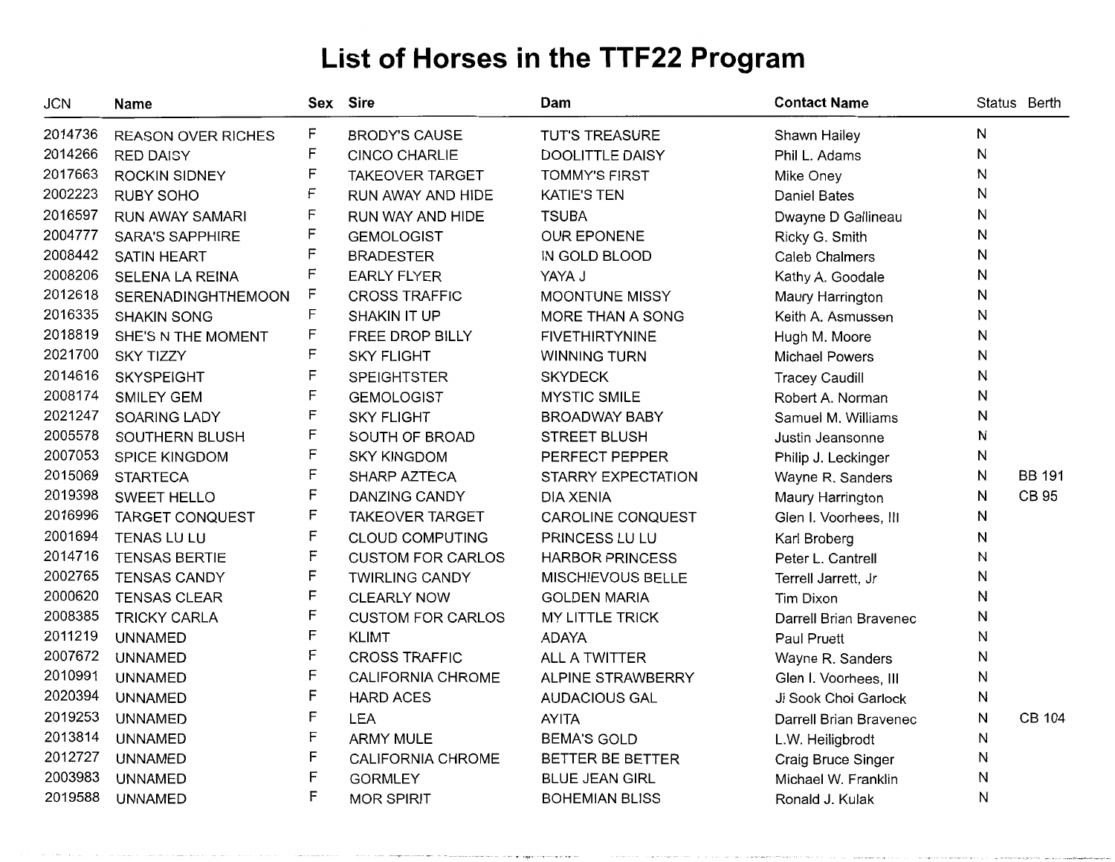| <b>JCN</b> | Name                      |   | Sex Sire                 | Dam                    | <b>Contact Name</b>    |   | Status Berth  |
|------------|---------------------------|---|--------------------------|------------------------|------------------------|---|---------------|
| 2014736    | <b>REASON OVER RICHES</b> | F | <b>BRODY'S CAUSE</b>     | <b>TUT'S TREASURE</b>  | Shawn Hailey           | N |               |
| 2014266    | <b>RED DAISY</b>          | F | <b>CINCO CHARLIE</b>     | <b>DOOLITTLE DAISY</b> | Phil L. Adams          | Ν |               |
| 2017663    | <b>ROCKIN SIDNEY</b>      | F | <b>TAKEOVER TARGET</b>   | <b>TOMMY'S FIRST</b>   | Mike Oney              | N |               |
| 2002223    | <b>RUBY SOHO</b>          | F | RUN AWAY AND HIDE        | <b>KATIE'S TEN</b>     | <b>Daniel Bates</b>    | Ν |               |
| 2016597    | <b>RUN AWAY SAMARI</b>    | F | RUN WAY AND HIDE         | <b>TSUBA</b>           | Dwayne D Gallineau     | Ν |               |
| 2004777    | <b>SARA'S SAPPHIRE</b>    | F | <b>GEMOLOGIST</b>        | <b>OUR EPONENE</b>     | Ricky G. Smith         | Ν |               |
| 2008442    | <b>SATIN HEART</b>        | F | <b>BRADESTER</b>         | IN GOLD BLOOD          | <b>Caleb Chalmers</b>  | N |               |
| 2008206    | SELENA LA REINA           | F | <b>EARLY FLYER</b>       | YAYA J                 | Kathy A. Goodale       | Ν |               |
| 2012618    | SERENADINGHTHEMOON        | F | <b>CROSS TRAFFIC</b>     | MOONTUNE MISSY         | Maury Harrington       | N |               |
| 2016335    | <b>SHAKIN SONG</b>        | F | SHAKIN IT UP             | MORE THAN A SONG       | Keith A. Asmussen      | Ν |               |
| 2018819    | SHE'S N THE MOMENT        | F | FREE DROP BILLY          | <b>FIVETHIRTYNINE</b>  | Hugh M. Moore          | Ν |               |
| 2021700    | <b>SKY TIZZY</b>          | F | <b>SKY FLIGHT</b>        | <b>WINNING TURN</b>    | <b>Michael Powers</b>  | Ν |               |
| 2014616    | <b>SKYSPEIGHT</b>         | F | <b>SPEIGHTSTER</b>       | <b>SKYDECK</b>         | <b>Tracey Caudill</b>  | N |               |
| 2008174    | SMILEY GEM                | F | <b>GEMOLOGIST</b>        | <b>MYSTIC SMILE</b>    | Robert A. Norman       | Ν |               |
| 2021247    | SOARING LADY              | F | <b>SKY FLIGHT</b>        | <b>BROADWAY BABY</b>   | Samuel M. Williams     | Ν |               |
| 2005578    | SOUTHERN BLUSH            | F | SOUTH OF BROAD           | <b>STREET BLUSH</b>    | Justin Jeansonne       | N |               |
| 2007053    | <b>SPICE KINGDOM</b>      | F | <b>SKY KINGDOM</b>       | PERFECT PEPPER         | Philip J. Leckinger    | N |               |
| 2015069    | <b>STARTECA</b>           | F | SHARP AZTECA             | STARRY EXPECTATION     | Wayne R. Sanders       | Ν | <b>BB 191</b> |
| 2019398    | <b>SWEET HELLO</b>        | F | <b>DANZING CANDY</b>     | <b>DIA XENIA</b>       | Maury Harrington       | N | CB 95         |
| 2016996    | <b>TARGET CONQUEST</b>    | F | <b>TAKEOVER TARGET</b>   | CAROLINE CONQUEST      | Glen I. Voorhees, III  | N |               |
| 2001694    | <b>TENAS LU LU</b>        | F | <b>CLOUD COMPUTING</b>   | PRINCESS LU LU         | Karl Broberg           | Ν |               |
| 2014716    | <b>TENSAS BERTIE</b>      | F | <b>CUSTOM FOR CARLOS</b> | <b>HARBOR PRINCESS</b> | Peter L. Cantrell      | Ν |               |
| 2002765    | <b>TENSAS CANDY</b>       | F | <b>TWIRLING CANDY</b>    | MISCHIEVOUS BELLE      | Terrell Jarrett, Jr    | Ν |               |
| 2000620    | <b>TENSAS CLEAR</b>       | F | <b>CLEARLY NOW</b>       | <b>GOLDEN MARIA</b>    | Tim Dixon              | Ν |               |
| 2008385    | <b>TRICKY CARLA</b>       | F | <b>CUSTOM FOR CARLOS</b> | MY LITTLE TRICK        | Darrell Brian Bravenec | N |               |
| 2011219    | <b>UNNAMED</b>            | F | <b>KLIMT</b>             | <b>ADAYA</b>           | <b>Paul Pruett</b>     | N |               |
| 2007672    | <b>UNNAMED</b>            | F | <b>CROSS TRAFFIC</b>     | ALL A TWITTER          | Wayne R. Sanders       | Ν |               |
| 2010991    | <b>UNNAMED</b>            | F | CALIFORNIA CHROME        | ALPINE STRAWBERRY      | Glen I. Voorhees, III  | Ν |               |
| 2020394    | <b>UNNAMED</b>            | F | <b>HARD ACES</b>         | <b>AUDACIOUS GAL</b>   | Ji Sook Choi Garlock   | N |               |
| 2019253    | <b>UNNAMED</b>            | F | <b>LEA</b>               | <b>AYITA</b>           | Darrell Brian Bravenec | Ν | <b>CB 104</b> |
| 2013814    | <b>UNNAMED</b>            | F | <b>ARMY MULE</b>         | <b>BEMA'S GOLD</b>     | L.W. Heiligbrodt       | N |               |
| 2012727    | <b>UNNAMED</b>            | F | CALIFORNIA CHROME        | BETTER BE BETTER       | Craig Bruce Singer     | Ν |               |
| 2003983    | <b>UNNAMED</b>            | F | <b>GORMLEY</b>           | <b>BLUE JEAN GIRL</b>  | Michael W. Franklin    | N |               |
| 2019588    | <b>UNNAMED</b>            | F | <b>MOR SPIRIT</b>        | <b>BOHEMIAN BLISS</b>  | Ronald J. Kulak        | Ν |               |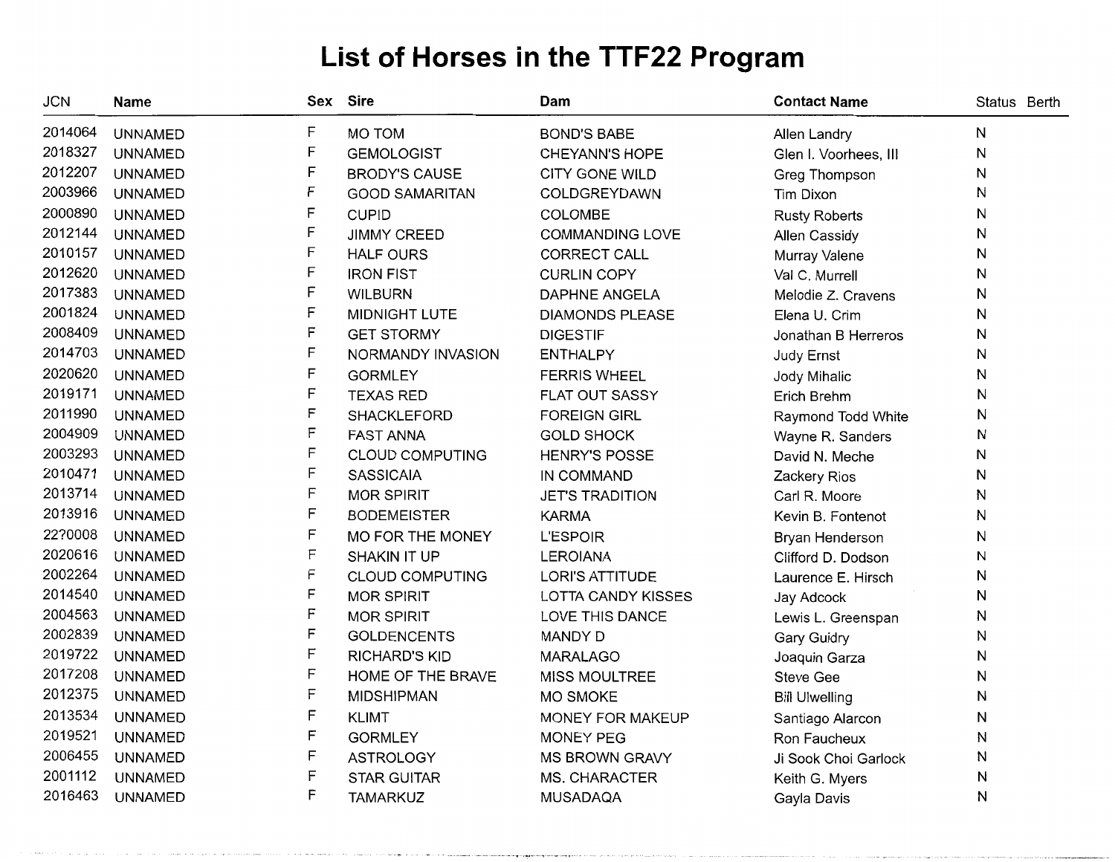| <b>JCN</b> | Name           | Sex | <b>Sire</b>            | Dam                       | <b>Contact Name</b>   | Status Berth |
|------------|----------------|-----|------------------------|---------------------------|-----------------------|--------------|
| 2014064    | <b>UNNAMED</b> | F   | MO TOM                 | <b>BOND'S BABE</b>        | Allen Landry          | N            |
| 2018327    | <b>UNNAMED</b> | F   | <b>GEMOLOGIST</b>      | <b>CHEYANN'S HOPE</b>     | Glen I. Voorhees, III | N            |
| 2012207    | <b>UNNAMED</b> | F   | <b>BRODY'S CAUSE</b>   | <b>CITY GONE WILD</b>     | Greg Thompson         | N            |
| 2003966    | <b>UNNAMED</b> | F   | <b>GOOD SAMARITAN</b>  | COLDGREYDAWN              | Tim Dixon             | N            |
| 2000890    | <b>UNNAMED</b> | F   | <b>CUPID</b>           | COLOMBE                   | <b>Rusty Roberts</b>  | N            |
| 2012144    | <b>UNNAMED</b> | F   | <b>JIMMY CREED</b>     | <b>COMMANDING LOVE</b>    | Allen Cassidy         | N            |
| 2010157    | <b>UNNAMED</b> | F   | <b>HALF OURS</b>       | CORRECT CALL              | Murray Valene         | N            |
| 2012620    | <b>UNNAMED</b> | F   | <b>IRON FIST</b>       | <b>CURLIN COPY</b>        | Val C. Murrell        | N            |
| 2017383    | <b>UNNAMED</b> | F   | <b>WILBURN</b>         | <b>DAPHNE ANGELA</b>      | Melodie Z. Cravens    | N            |
| 2001824    | <b>UNNAMED</b> | F   | MIDNIGHT LUTE          | <b>DIAMONDS PLEASE</b>    | Elena U. Crim         | N            |
| 2008409    | <b>UNNAMED</b> | F   | <b>GET STORMY</b>      | <b>DIGESTIF</b>           | Jonathan B Herreros   | N            |
| 2014703    | <b>UNNAMED</b> | F   | NORMANDY INVASION      | <b>ENTHALPY</b>           | Judy Ernst            | N            |
| 2020620    | <b>UNNAMED</b> | F   | <b>GORMLEY</b>         | <b>FERRIS WHEEL</b>       | Jody Mihalic          | N            |
| 2019171    | <b>UNNAMED</b> | F   | <b>TEXAS RED</b>       | <b>FLAT OUT SASSY</b>     | Erich Brehm           | N            |
| 2011990    | <b>UNNAMED</b> | F   | SHACKLEFORD            | <b>FOREIGN GIRL</b>       | Raymond Todd White    | N            |
| 2004909    | <b>UNNAMED</b> | F   | <b>FAST ANNA</b>       | <b>GOLD SHOCK</b>         | Wayne R. Sanders      | N            |
| 2003293    | <b>UNNAMED</b> | F   | <b>CLOUD COMPUTING</b> | <b>HENRY'S POSSE</b>      | David N. Meche        | N            |
| 2010471    | <b>UNNAMED</b> | F   | <b>SASSICAIA</b>       | IN COMMAND                | Zackery Rios          | N            |
| 2013714    | <b>UNNAMED</b> | F   | <b>MOR SPIRIT</b>      | <b>JET'S TRADITION</b>    | Carl R. Moore         | N            |
| 2013916    | <b>UNNAMED</b> | F   | <b>BODEMEISTER</b>     | <b>KARMA</b>              | Kevin B. Fontenot     | N            |
| 22?0008    | <b>UNNAMED</b> | F   | MO FOR THE MONEY       | <b>L'ESPOIR</b>           | Bryan Henderson       | N            |
| 2020616    | <b>UNNAMED</b> | F   | SHAKIN IT UP           | <b>LEROIANA</b>           | Clifford D. Dodson    | N            |
| 2002264    | <b>UNNAMED</b> | F   | <b>CLOUD COMPUTING</b> | <b>LORI'S ATTITUDE</b>    | Laurence E. Hirsch    | N            |
| 2014540    | <b>UNNAMED</b> | F   | <b>MOR SPIRIT</b>      | <b>LOTTA CANDY KISSES</b> | Jay Adcock            | N            |
| 2004563    | <b>UNNAMED</b> | F   | <b>MOR SPIRIT</b>      | LOVE THIS DANCE           | Lewis L. Greenspan    | N            |
| 2002839    | <b>UNNAMED</b> | F   | <b>GOLDENCENTS</b>     | <b>MANDY D</b>            | Gary Guidry           | N            |
| 2019722    | <b>UNNAMED</b> | F   | RICHARD'S KID          | <b>MARALAGO</b>           | Joaquin Garza         | N            |
| 2017208    | <b>UNNAMED</b> | F   | HOME OF THE BRAVE      | <b>MISS MOULTREE</b>      | <b>Steve Gee</b>      | N            |
| 2012375    | <b>UNNAMED</b> | F   | <b>MIDSHIPMAN</b>      | <b>MO SMOKE</b>           | <b>Bill Ulwelling</b> | N            |
| 2013534    | <b>UNNAMED</b> | F   | <b>KLIMT</b>           | MONEY FOR MAKEUP          | Santiago Alarcon      | N            |
| 2019521    | <b>UNNAMED</b> | F   | <b>GORMLEY</b>         | <b>MONEY PEG</b>          | Ron Faucheux          | N            |
| 2006455    | <b>UNNAMED</b> | F   | <b>ASTROLOGY</b>       | MS BROWN GRAVY            | Ji Sook Choi Garlock  | N            |
| 2001112    | <b>UNNAMED</b> | F   | <b>STAR GUITAR</b>     | MS. CHARACTER             | Keith G. Myers        | N            |
| 2016463    | <b>UNNAMED</b> | F   | <b>TAMARKUZ</b>        | <b>MUSADAQA</b>           | Gayla Davis           | N            |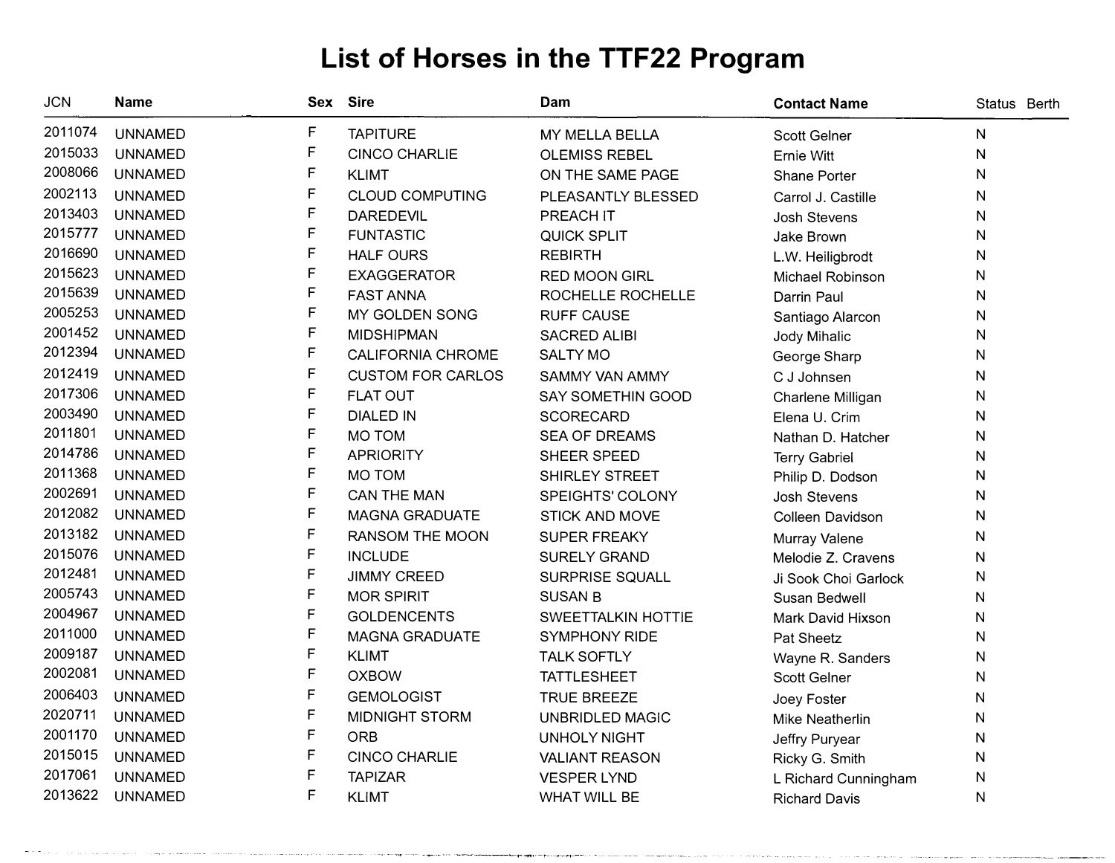| <b>JCN</b> | <b>Name</b>    | Sex          | <b>Sire</b>              | Dam                       | <b>Contact Name</b>    | Status Berth |
|------------|----------------|--------------|--------------------------|---------------------------|------------------------|--------------|
| 2011074    | <b>UNNAMED</b> | F            | <b>TAPITURE</b>          | MY MELLA BELLA            | <b>Scott Gelner</b>    | $\mathsf{N}$ |
| 2015033    | <b>UNNAMED</b> | F            | <b>CINCO CHARLIE</b>     | <b>OLEMISS REBEL</b>      | Ernie Witt             | $\mathsf{N}$ |
| 2008066    | <b>UNNAMED</b> | F            | <b>KLIMT</b>             | ON THE SAME PAGE          | Shane Porter           | ${\sf N}$    |
| 2002113    | <b>UNNAMED</b> | F            | <b>CLOUD COMPUTING</b>   | PLEASANTLY BLESSED        | Carrol J. Castille     | N            |
| 2013403    | <b>UNNAMED</b> | F            | <b>DAREDEVIL</b>         | PREACH IT                 | <b>Josh Stevens</b>    | ${\sf N}$    |
| 2015777    | <b>UNNAMED</b> | F            | <b>FUNTASTIC</b>         | <b>QUICK SPLIT</b>        | Jake Brown             | N            |
| 2016690    | <b>UNNAMED</b> | F            | <b>HALF OURS</b>         | <b>REBIRTH</b>            | L.W. Heiligbrodt       | N            |
| 2015623    | <b>UNNAMED</b> | F            | <b>EXAGGERATOR</b>       | RED MOON GIRL             | Michael Robinson       | N            |
| 2015639    | <b>UNNAMED</b> | F            | <b>FAST ANNA</b>         | ROCHELLE ROCHELLE         | Darrin Paul            | N            |
| 2005253    | <b>UNNAMED</b> | F            | MY GOLDEN SONG           | <b>RUFF CAUSE</b>         | Santiago Alarcon       | N            |
| 2001452    | <b>UNNAMED</b> | F            | <b>MIDSHIPMAN</b>        | <b>SACRED ALIBI</b>       | Jody Mihalic           | N            |
| 2012394    | <b>UNNAMED</b> | F            | <b>CALIFORNIA CHROME</b> | <b>SALTY MO</b>           | George Sharp           | N            |
| 2012419    | <b>UNNAMED</b> | F            | <b>CUSTOM FOR CARLOS</b> | SAMMY VAN AMMY            | C J Johnsen            | ${\sf N}$    |
| 2017306    | <b>UNNAMED</b> | F            | <b>FLAT OUT</b>          | SAY SOMETHIN GOOD         | Charlene Milligan      | N            |
| 2003490    | <b>UNNAMED</b> | F            | <b>DIALED IN</b>         | <b>SCORECARD</b>          | Elena U. Crim          | N            |
| 2011801    | <b>UNNAMED</b> | F            | <b>MO TOM</b>            | <b>SEA OF DREAMS</b>      | Nathan D. Hatcher      | N            |
| 2014786    | <b>UNNAMED</b> | F            | <b>APRIORITY</b>         | SHEER SPEED               | <b>Terry Gabriel</b>   | N            |
| 2011368    | <b>UNNAMED</b> | F            | MO TOM                   | <b>SHIRLEY STREET</b>     | Philip D. Dodson       | N            |
| 2002691    | <b>UNNAMED</b> | F            | <b>CAN THE MAN</b>       | SPEIGHTS' COLONY          | <b>Josh Stevens</b>    | N            |
| 2012082    | <b>UNNAMED</b> | F            | <b>MAGNA GRADUATE</b>    | <b>STICK AND MOVE</b>     | Colleen Davidson       | N            |
| 2013182    | <b>UNNAMED</b> | F            | <b>RANSOM THE MOON</b>   | <b>SUPER FREAKY</b>       | Murray Valene          | N            |
| 2015076    | <b>UNNAMED</b> | $\mathsf F$  | <b>INCLUDE</b>           | <b>SURELY GRAND</b>       | Melodie Z. Cravens     | $\mathsf{N}$ |
| 2012481    | <b>UNNAMED</b> | $\mathsf F$  | <b>JIMMY CREED</b>       | SURPRISE SQUALL           | Ji Sook Choi Garlock   | N            |
| 2005743    | <b>UNNAMED</b> | $\mathsf F$  | <b>MOR SPIRIT</b>        | <b>SUSAN B</b>            | Susan Bedwell          | N            |
| 2004967    | <b>UNNAMED</b> | $\mathsf F$  | <b>GOLDENCENTS</b>       | <b>SWEETTALKIN HOTTIE</b> | Mark David Hixson      | N            |
| 2011000    | <b>UNNAMED</b> | F            | <b>MAGNA GRADUATE</b>    | <b>SYMPHONY RIDE</b>      | Pat Sheetz             | N            |
| 2009187    | <b>UNNAMED</b> | $\mathsf F$  | <b>KLIMT</b>             | <b>TALK SOFTLY</b>        | Wayne R. Sanders       | N            |
| 2002081    | <b>UNNAMED</b> | $\mathsf{F}$ | <b>OXBOW</b>             | <b>TATTLESHEET</b>        | Scott Gelner           | N            |
| 2006403    | <b>UNNAMED</b> | F            | <b>GEMOLOGIST</b>        | <b>TRUE BREEZE</b>        | Joey Foster            | N            |
| 2020711    | <b>UNNAMED</b> | $\mathsf F$  | <b>MIDNIGHT STORM</b>    | <b>UNBRIDLED MAGIC</b>    | <b>Mike Neatherlin</b> | N            |
| 2001170    | <b>UNNAMED</b> | F            | <b>ORB</b>               | <b>UNHOLY NIGHT</b>       | Jeffry Puryear         | N            |
| 2015015    | <b>UNNAMED</b> | F            | <b>CINCO CHARLIE</b>     | <b>VALIANT REASON</b>     | Ricky G. Smith         | $\mathsf{N}$ |
| 2017061    | <b>UNNAMED</b> | F            | <b>TAPIZAR</b>           | <b>VESPER LYND</b>        | L Richard Cunningham   | N            |
| 2013622    | <b>UNNAMED</b> | F            | <b>KLIMT</b>             | WHAT WILL BE              | <b>Richard Davis</b>   | ${\sf N}$    |

- �-·�---·--·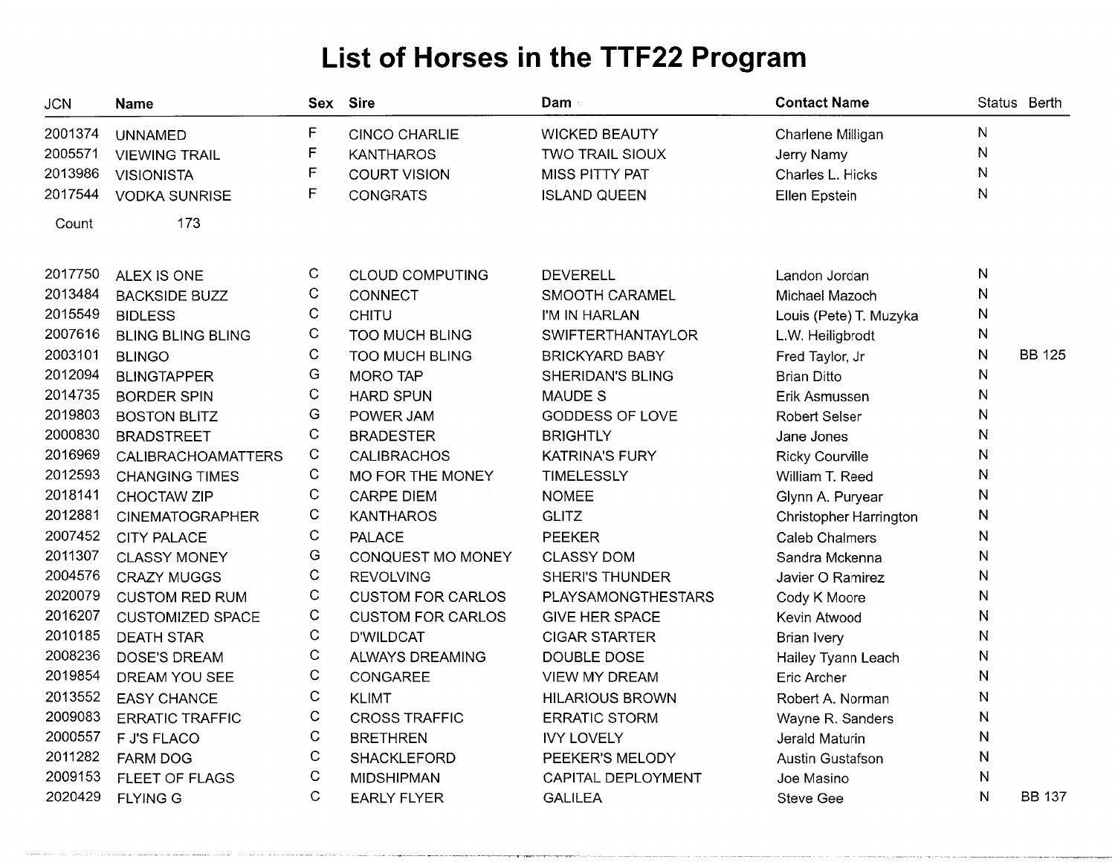| <b>JCN</b> | <b>Name</b>              |              | Sex Sire                 | Dam                      | <b>Contact Name</b>     |              | Status Berth  |
|------------|--------------------------|--------------|--------------------------|--------------------------|-------------------------|--------------|---------------|
| 2001374    | <b>UNNAMED</b>           | F            | <b>CINCO CHARLIE</b>     | <b>WICKED BEAUTY</b>     | Charlene Milligan       | N            |               |
| 2005571    | <b>VIEWING TRAIL</b>     | F            | <b>KANTHAROS</b>         | TWO TRAIL SIOUX          | Jerry Namy              | N            |               |
| 2013986    | <b>VISIONISTA</b>        | $\mathsf F$  | <b>COURT VISION</b>      | <b>MISS PITTY PAT</b>    | Charles L. Hicks        | N            |               |
| 2017544    | <b>VODKA SUNRISE</b>     | F            | <b>CONGRATS</b>          | <b>ISLAND QUEEN</b>      | Ellen Epstein           | N            |               |
| Count      | 173                      |              |                          |                          |                         |              |               |
| 2017750    | ALEX IS ONE              | C            | <b>CLOUD COMPUTING</b>   | <b>DEVERELL</b>          | Landon Jordan           | N            |               |
| 2013484    | <b>BACKSIDE BUZZ</b>     | C            | <b>CONNECT</b>           | SMOOTH CARAMEL           | Michael Mazoch          | N            |               |
| 2015549    | <b>BIDLESS</b>           | C            | <b>CHITU</b>             | I'M IN HARLAN            | Louis (Pete) T. Muzyka  | N            |               |
| 2007616    | <b>BLING BLING BLING</b> | C            | <b>TOO MUCH BLING</b>    | <b>SWIFTERTHANTAYLOR</b> | L.W. Heiligbrodt        | N            |               |
| 2003101    | <b>BLINGO</b>            | $\mathsf C$  | <b>TOO MUCH BLING</b>    | <b>BRICKYARD BABY</b>    | Fred Taylor, Jr         | N            | <b>BB 125</b> |
| 2012094    | <b>BLINGTAPPER</b>       | G            | <b>MORO TAP</b>          | SHERIDAN'S BLING         | <b>Brian Ditto</b>      | N            |               |
| 2014735    | <b>BORDER SPIN</b>       | C            | <b>HARD SPUN</b>         | <b>MAUDE S</b>           | Erik Asmussen           | ${\sf N}$    |               |
| 2019803    | <b>BOSTON BLITZ</b>      | G            | POWER JAM                | GODDESS OF LOVE          | <b>Robert Selser</b>    | N            |               |
| 2000830    | <b>BRADSTREET</b>        | $\mathsf C$  | <b>BRADESTER</b>         | <b>BRIGHTLY</b>          | Jane Jones              | ${\sf N}$    |               |
| 2016969    | CALIBRACHOAMATTERS       | $\mathsf C$  | <b>CALIBRACHOS</b>       | <b>KATRINA'S FURY</b>    | <b>Ricky Courville</b>  | N            |               |
| 2012593    | <b>CHANGING TIMES</b>    | $\mathsf C$  | MO FOR THE MONEY         | <b>TIMELESSLY</b>        | William T. Reed         | N            |               |
| 2018141    | CHOCTAW ZIP              | C            | <b>CARPE DIEM</b>        | <b>NOMEE</b>             | Glynn A. Puryear        | N            |               |
| 2012881    | <b>CINEMATOGRAPHER</b>   | $\mathsf C$  | <b>KANTHAROS</b>         | <b>GLITZ</b>             | Christopher Harrington  | N            |               |
| 2007452    | <b>CITY PALACE</b>       | $\mathsf C$  | <b>PALACE</b>            | <b>PEEKER</b>            | <b>Caleb Chalmers</b>   | N            |               |
| 2011307    | <b>CLASSY MONEY</b>      | G            | CONQUEST MO MONEY        | <b>CLASSY DOM</b>        | Sandra Mckenna          | N            |               |
| 2004576    | <b>CRAZY MUGGS</b>       | $\mathsf C$  | <b>REVOLVING</b>         | <b>SHERI'S THUNDER</b>   | Javier O Ramirez        | $\mathsf{N}$ |               |
| 2020079    | <b>CUSTOM RED RUM</b>    | $\mathsf C$  | <b>CUSTOM FOR CARLOS</b> | PLAYSAMONGTHESTARS       | Cody K Moore            | N            |               |
| 2016207    | <b>CUSTOMIZED SPACE</b>  | $\mathsf C$  | <b>CUSTOM FOR CARLOS</b> | <b>GIVE HER SPACE</b>    | Kevin Atwood            | $\mathsf{N}$ |               |
| 2010185    | <b>DEATH STAR</b>        | C            | <b>D'WILDCAT</b>         | <b>CIGAR STARTER</b>     | <b>Brian Ivery</b>      | N            |               |
| 2008236    | DOSE'S DREAM             | C            | <b>ALWAYS DREAMING</b>   | DOUBLE DOSE              | Hailey Tyann Leach      | N            |               |
| 2019854    | DREAM YOU SEE            | C            | CONGAREE                 | <b>VIEW MY DREAM</b>     | Eric Archer             | $\mathsf{N}$ |               |
| 2013552    | <b>EASY CHANCE</b>       | $\mathsf{C}$ | <b>KLIMT</b>             | <b>HILARIOUS BROWN</b>   | Robert A. Norman        | N            |               |
| 2009083    | <b>ERRATIC TRAFFIC</b>   | $\mathsf{C}$ | <b>CROSS TRAFFIC</b>     | <b>ERRATIC STORM</b>     | Wayne R. Sanders        | N            |               |
| 2000557    | <b>F J'S FLACO</b>       | $\mathbf C$  | <b>BRETHREN</b>          | <b>IVY LOVELY</b>        | Jerald Maturin          | N            |               |
| 2011282    | <b>FARM DOG</b>          | C            | <b>SHACKLEFORD</b>       | PEEKER'S MELODY          | <b>Austin Gustafson</b> | N            |               |
| 2009153    | FLEET OF FLAGS           | C            | <b>MIDSHIPMAN</b>        | CAPITAL DEPLOYMENT       | Joe Masino              | N            |               |
| 2020429    | <b>FLYING G</b>          | $\mathsf{C}$ | <b>EARLY FLYER</b>       | <b>GALILEA</b>           | <b>Steve Gee</b>        | $\mathsf{N}$ | <b>BB 137</b> |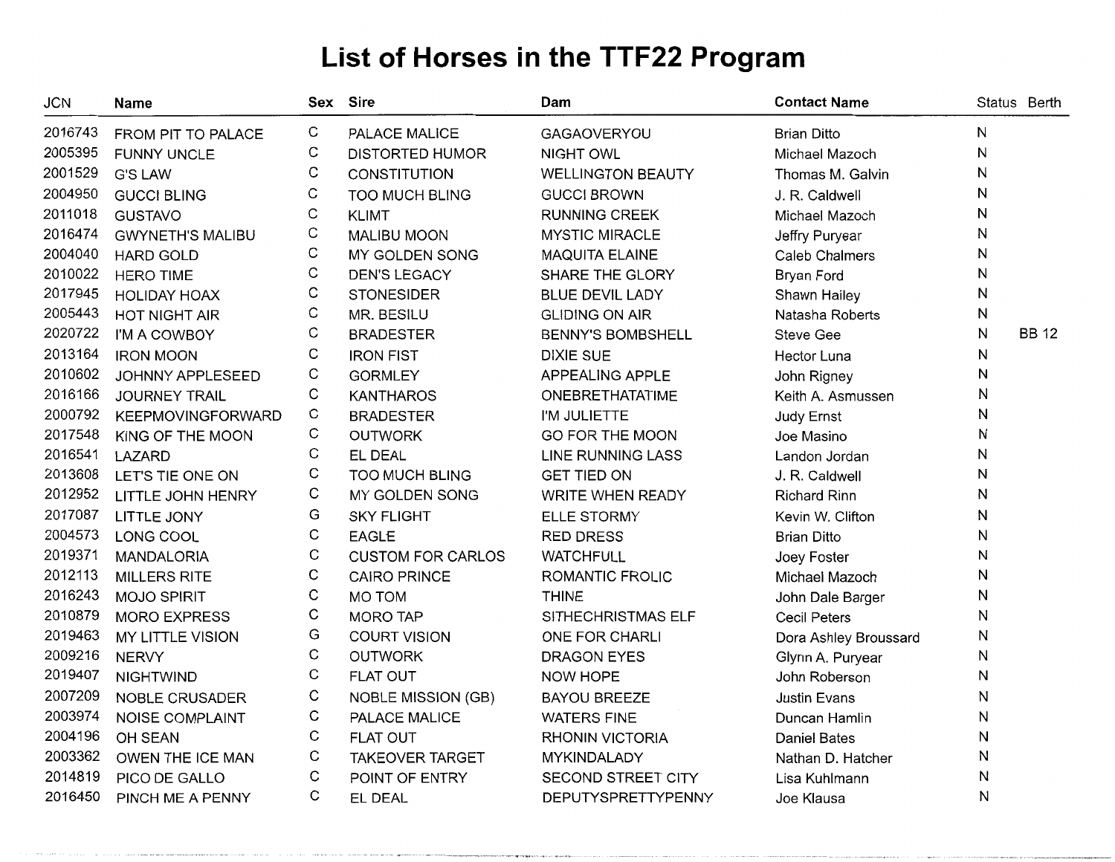| JCN     | <b>Name</b>              | Sex         | <b>Sire</b>               | Dam                      | <b>Contact Name</b>   |   | Status Berth |
|---------|--------------------------|-------------|---------------------------|--------------------------|-----------------------|---|--------------|
| 2016743 | FROM PIT TO PALACE       | С           | PALACE MALICE             | <b>GAGAOVERYOU</b>       | <b>Brian Ditto</b>    | N |              |
| 2005395 | <b>FUNNY UNCLE</b>       | С           | <b>DISTORTED HUMOR</b>    | <b>NIGHT OWL</b>         | Michael Mazoch        | N |              |
| 2001529 | <b>G'S LAW</b>           | C           | CONSTITUTION              | <b>WELLINGTON BEAUTY</b> | Thomas M. Galvin      | N |              |
| 2004950 | <b>GUCCI BLING</b>       | C           | <b>TOO MUCH BLING</b>     | <b>GUCCI BROWN</b>       | J. R. Caldwell        | N |              |
| 2011018 | <b>GUSTAVO</b>           | C           | <b>KLIMT</b>              | <b>RUNNING CREEK</b>     | Michael Mazoch        | N |              |
| 2016474 | <b>GWYNETH'S MALIBU</b>  | C           | <b>MALIBU MOON</b>        | <b>MYSTIC MIRACLE</b>    | Jeffry Puryear        | N |              |
| 2004040 | <b>HARD GOLD</b>         | C           | MY GOLDEN SONG            | MAQUITA ELAINE           | <b>Caleb Chalmers</b> | N |              |
| 2010022 | <b>HERO TIME</b>         | C           | <b>DEN'S LEGACY</b>       | SHARE THE GLORY          | Bryan Ford            | N |              |
| 2017945 | <b>HOLIDAY HOAX</b>      | C           | <b>STONESIDER</b>         | <b>BLUE DEVIL LADY</b>   | Shawn Hailey          | N |              |
| 2005443 | <b>HOT NIGHT AIR</b>     | C           | MR. BESILU                | <b>GLIDING ON AIR</b>    | Natasha Roberts       | N |              |
| 2020722 | I'M A COWBOY             | C           | <b>BRADESTER</b>          | <b>BENNY'S BOMBSHELL</b> | <b>Steve Gee</b>      | N | <b>BB 12</b> |
| 2013164 | <b>IRON MOON</b>         | С           | <b>IRON FIST</b>          | <b>DIXIE SUE</b>         | Hector Luna           | N |              |
| 2010602 | JOHNNY APPLESEED         | C           | <b>GORMLEY</b>            | APPEALING APPLE          | John Rigney           | N |              |
| 2016166 | <b>JOURNEY TRAIL</b>     | C           | <b>KANTHAROS</b>          | <b>ONEBRETHATATIME</b>   | Keith A. Asmussen     | N |              |
| 2000792 | <b>KEEPMOVINGFORWARD</b> | C           | <b>BRADESTER</b>          | I'M JULIETTE             | Judy Ernst            | N |              |
| 2017548 | KING OF THE MOON         | C           | <b>OUTWORK</b>            | GO FOR THE MOON          | Joe Masino            | N |              |
| 2016541 | LAZARD                   | С           | EL DEAL                   | <b>LINE RUNNING LASS</b> | Landon Jordan         | N |              |
| 2013608 | LET'S TIE ONE ON         | С           | <b>TOO MUCH BLING</b>     | <b>GET TIED ON</b>       | J. R. Caldwell        | N |              |
| 2012952 | LITTLE JOHN HENRY        | С           | MY GOLDEN SONG            | <b>WRITE WHEN READY</b>  | <b>Richard Rinn</b>   | N |              |
| 2017087 | LITTLE JONY              | G           | <b>SKY FLIGHT</b>         | <b>ELLE STORMY</b>       | Kevin W. Clifton      | N |              |
| 2004573 | LONG COOL                | $\mathsf C$ | <b>EAGLE</b>              | <b>RED DRESS</b>         | <b>Brian Ditto</b>    | N |              |
| 2019371 | <b>MANDALORIA</b>        | C           | <b>CUSTOM FOR CARLOS</b>  | <b>WATCHFULL</b>         | Joey Foster           | N |              |
| 2012113 | MILLERS RITE             | C           | <b>CAIRO PRINCE</b>       | ROMANTIC FROLIC          | Michael Mazoch        | N |              |
| 2016243 | <b>MOJO SPIRIT</b>       | C           | <b>MO TOM</b>             | <b>THINE</b>             | John Dale Barger      | N |              |
| 2010879 | <b>MORO EXPRESS</b>      | С           | <b>MORO TAP</b>           | SITHECHRISTMAS ELF       | <b>Cecil Peters</b>   | N |              |
| 2019463 | MY LITTLE VISION         | G           | <b>COURT VISION</b>       | ONE FOR CHARLI           | Dora Ashley Broussard | N |              |
| 2009216 | <b>NERVY</b>             | C           | <b>OUTWORK</b>            | <b>DRAGON EYES</b>       | Glynn A. Puryear      | N |              |
| 2019407 | <b>NIGHTWIND</b>         | С           | <b>FLAT OUT</b>           | NOW HOPE                 | John Roberson         | N |              |
| 2007209 | NOBLE CRUSADER           | С           | <b>NOBLE MISSION (GB)</b> | <b>BAYOU BREEZE</b>      | <b>Justin Evans</b>   | N |              |
| 2003974 | NOISE COMPLAINT          | C           | PALACE MALICE             | <b>WATERS FINE</b>       | Duncan Hamlin         | N |              |
| 2004196 | OH SEAN                  | C           | <b>FLAT OUT</b>           | <b>RHONIN VICTORIA</b>   | <b>Daniel Bates</b>   | N |              |
| 2003362 | OWEN THE ICE MAN         | С           | <b>TAKEOVER TARGET</b>    | MYKINDALADY              | Nathan D. Hatcher     | N |              |
| 2014819 | PICO DE GALLO            | C           | POINT OF ENTRY            | SECOND STREET CITY       | Lisa Kuhlmann         | N |              |
| 2016450 | PINCH ME A PENNY         | С           | EL DEAL                   | DEPUTYSPRETTYPENNY       | Joe Klausa            | N |              |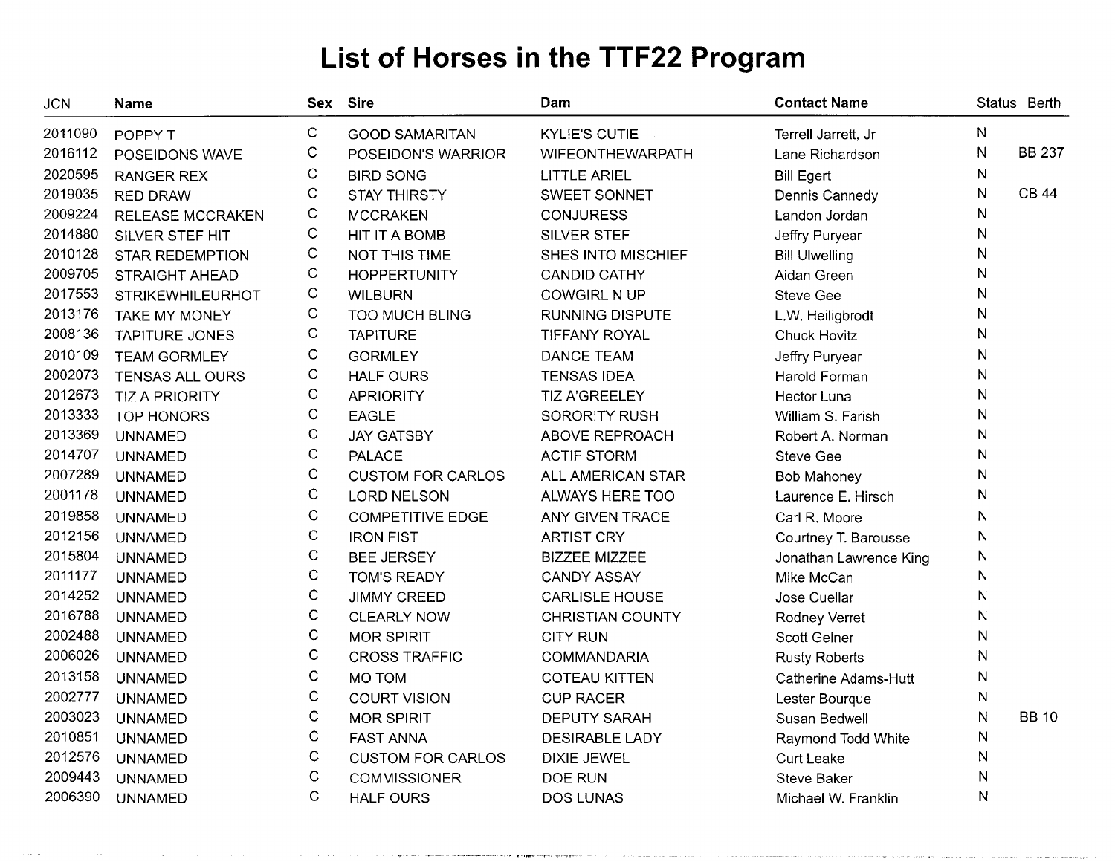| <b>JCN</b> | Name                    |              | Sex Sire                 | Dam                     | <b>Contact Name</b>         |              | Status Berth  |
|------------|-------------------------|--------------|--------------------------|-------------------------|-----------------------------|--------------|---------------|
| 2011090    | POPPY T                 | C            | <b>GOOD SAMARITAN</b>    | <b>KYLIE'S CUTIE</b>    | Terrell Jarrett, Jr         | N            |               |
| 2016112    | POSEIDONS WAVE          | С            | POSEIDON'S WARRIOR       | <b>WIFEONTHEWARPATH</b> | Lane Richardson             | N            | <b>BB 237</b> |
| 2020595    | <b>RANGER REX</b>       | C            | <b>BIRD SONG</b>         | <b>LITTLE ARIEL</b>     | <b>Bill Egert</b>           | N            |               |
| 2019035    | <b>RED DRAW</b>         | C            | <b>STAY THIRSTY</b>      | SWEET SONNET            | Dennis Cannedy              | $\mathsf{N}$ | <b>CB 44</b>  |
| 2009224    | <b>RELEASE MCCRAKEN</b> | $\mathsf C$  | <b>MCCRAKEN</b>          | <b>CONJURESS</b>        | Landon Jordan               | ${\sf N}$    |               |
| 2014880    | SILVER STEF HIT         | $\mathsf C$  | HIT IT A BOMB            | SILVER STEF             | Jeffry Puryear              | $\mathsf{N}$ |               |
| 2010128    | <b>STAR REDEMPTION</b>  | С            | NOT THIS TIME            | SHES INTO MISCHIEF      | <b>Bill Ulwelling</b>       | ${\sf N}$    |               |
| 2009705    | <b>STRAIGHT AHEAD</b>   | $\mathbf C$  | <b>HOPPERTUNITY</b>      | <b>CANDID CATHY</b>     | Aidan Green                 | ${\sf N}$    |               |
| 2017553    | <b>STRIKEWHILEURHOT</b> | C            | <b>WILBURN</b>           | <b>COWGIRL N UP</b>     | <b>Steve Gee</b>            | N            |               |
| 2013176    | <b>TAKE MY MONEY</b>    | $\mathsf C$  | <b>TOO MUCH BLING</b>    | <b>RUNNING DISPUTE</b>  | L.W. Heiligbrodt            | ${\sf N}$    |               |
| 2008136    | <b>TAPITURE JONES</b>   | C            | <b>TAPITURE</b>          | <b>TIFFANY ROYAL</b>    | <b>Chuck Hovitz</b>         | N            |               |
| 2010109    | <b>TEAM GORMLEY</b>     | $\mathbf C$  | <b>GORMLEY</b>           | <b>DANCE TEAM</b>       | Jeffry Puryear              | ${\sf N}$    |               |
| 2002073    | <b>TENSAS ALL OURS</b>  | C            | <b>HALF OURS</b>         | <b>TENSAS IDEA</b>      | Harold Forman               | ${\sf N}$    |               |
| 2012673    | <b>TIZ A PRIORITY</b>   | C            | <b>APRIORITY</b>         | TIZ A'GREELEY           | <b>Hector Luna</b>          | ${\sf N}$    |               |
| 2013333    | <b>TOP HONORS</b>       | $\mathsf C$  | <b>EAGLE</b>             | <b>SORORITY RUSH</b>    | William S. Farish           | ${\sf N}$    |               |
| 2013369    | <b>UNNAMED</b>          | $\mathsf C$  | <b>JAY GATSBY</b>        | <b>ABOVE REPROACH</b>   | Robert A. Norman            | N            |               |
| 2014707    | <b>UNNAMED</b>          | $\mathsf C$  | <b>PALACE</b>            | <b>ACTIF STORM</b>      | <b>Steve Gee</b>            | $\mathsf{N}$ |               |
| 2007289    | <b>UNNAMED</b>          | $\mathsf C$  | <b>CUSTOM FOR CARLOS</b> | ALL AMERICAN STAR       | Bob Mahoney                 | N            |               |
| 2001178    | <b>UNNAMED</b>          | $\mathsf C$  | <b>LORD NELSON</b>       | ALWAYS HERE TOO         | Laurence E. Hirsch          | N            |               |
| 2019858    | <b>UNNAMED</b>          | $\mathsf C$  | <b>COMPETITIVE EDGE</b>  | ANY GIVEN TRACE         | Carl R. Moore               | N            |               |
| 2012156    | <b>UNNAMED</b>          | $\mathsf C$  | <b>IRON FIST</b>         | <b>ARTIST CRY</b>       | Courtney T. Barousse        | N            |               |
| 2015804    | <b>UNNAMED</b>          | $\mathbf C$  | <b>BEE JERSEY</b>        | <b>BIZZEE MIZZEE</b>    | Jonathan Lawrence King      | N            |               |
| 2011177    | <b>UNNAMED</b>          | $\mathbf C$  | <b>TOM'S READY</b>       | <b>CANDY ASSAY</b>      | Mike McCan                  | N            |               |
| 2014252    | <b>UNNAMED</b>          | $\mathsf C$  | <b>JIMMY CREED</b>       | <b>CARLISLE HOUSE</b>   | Jose Cuellar                | $\mathsf{N}$ |               |
| 2016788    | <b>UNNAMED</b>          | $\mathsf C$  | <b>CLEARLY NOW</b>       | <b>CHRISTIAN COUNTY</b> | Rodney Verret               | N            |               |
| 2002488    | <b>UNNAMED</b>          | C            | <b>MOR SPIRIT</b>        | <b>CITY RUN</b>         | Scott Gelner                | N            |               |
| 2006026    | <b>UNNAMED</b>          | $\mathbf C$  | <b>CROSS TRAFFIC</b>     | <b>COMMANDARIA</b>      | <b>Rusty Roberts</b>        | N            |               |
| 2013158    | <b>UNNAMED</b>          | $\mathbf C$  | MO TOM                   | <b>COTEAU KITTEN</b>    | <b>Catherine Adams-Hutt</b> | N            |               |
| 2002777    | <b>UNNAMED</b>          | $\mathsf{C}$ | <b>COURT VISION</b>      | <b>CUP RACER</b>        | Lester Bourque              | N            |               |
| 2003023    | <b>UNNAMED</b>          | $\mathsf{C}$ | <b>MOR SPIRIT</b>        | <b>DEPUTY SARAH</b>     | Susan Bedwell               | N            | <b>BB 10</b>  |
| 2010851    | <b>UNNAMED</b>          | $\mathbf C$  | <b>FAST ANNA</b>         | <b>DESIRABLE LADY</b>   | Raymond Todd White          | Ν            |               |
| 2012576    | <b>UNNAMED</b>          | $\mathbf C$  | <b>CUSTOM FOR CARLOS</b> | <b>DIXIE JEWEL</b>      | <b>Curt Leake</b>           | N            |               |
| 2009443    | <b>UNNAMED</b>          | $\mathsf{C}$ | <b>COMMISSIONER</b>      | DOE RUN                 | Steve Baker                 | N            |               |
| 2006390    | <b>UNNAMED</b>          | $\mathsf{C}$ | <b>HALF OURS</b>         | <b>DOS LUNAS</b>        | Michael W. Franklin         | ${\sf N}$    |               |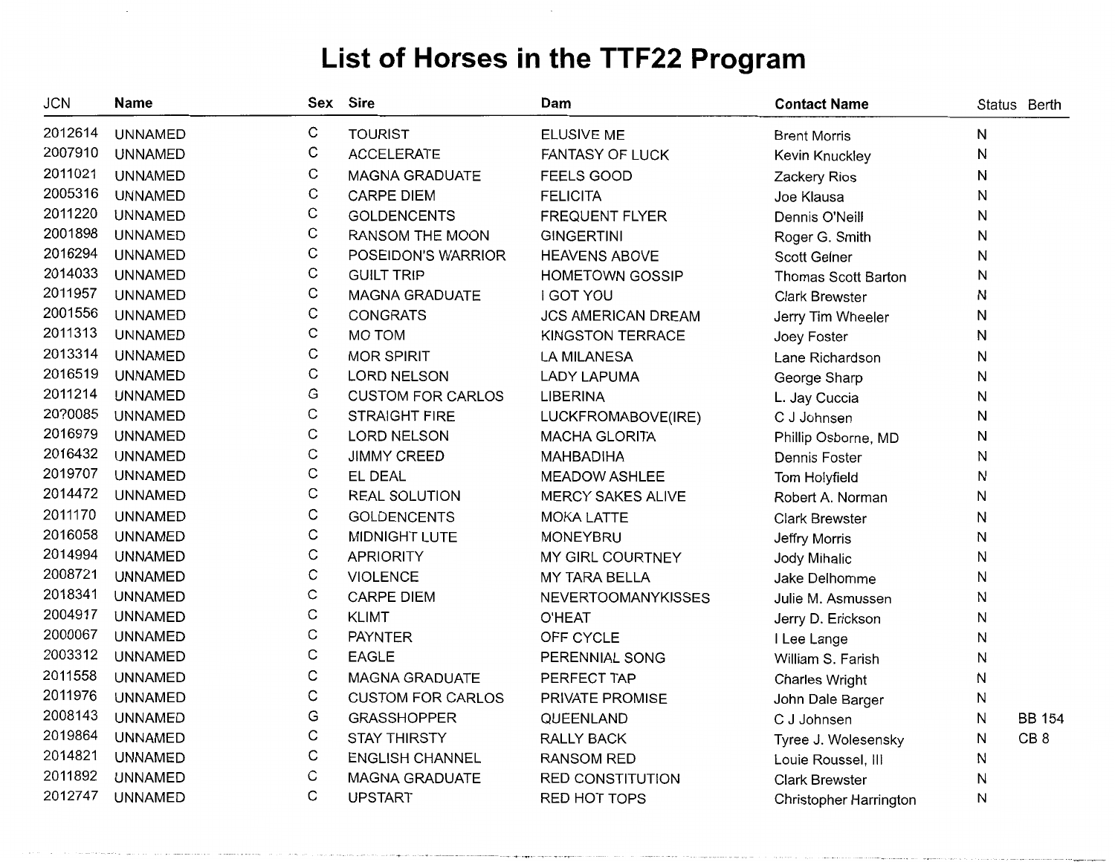| <b>JCN</b> | <b>Name</b>    | Sex         | Sire                     | Dam                       | <b>Contact Name</b>        |   | Status Berth    |
|------------|----------------|-------------|--------------------------|---------------------------|----------------------------|---|-----------------|
| 2012614    | <b>UNNAMED</b> | C           | <b>TOURIST</b>           | <b>ELUSIVE ME</b>         | <b>Brent Morris</b>        | Ν |                 |
| 2007910    | <b>UNNAMED</b> | С           | <b>ACCELERATE</b>        | FANTASY OF LUCK           | Kevin Knuckley             | N |                 |
| 2011021    | <b>UNNAMED</b> | C           | <b>MAGNA GRADUATE</b>    | <b>FEELS GOOD</b>         | Zackery Rios               | Ν |                 |
| 2005316    | <b>UNNAMED</b> | C           | CARPE DIEM               | <b>FELICITA</b>           | Joe Klausa                 | N |                 |
| 2011220    | <b>UNNAMED</b> | С           | <b>GOLDENCENTS</b>       | <b>FREQUENT FLYER</b>     | Dennis O'Neill             | Ν |                 |
| 2001898    | <b>UNNAMED</b> | C           | RANSOM THE MOON          | <b>GINGERTINI</b>         | Roger G. Smith             | Ν |                 |
| 2016294    | <b>UNNAMED</b> | С           | POSEIDON'S WARRIOR       | <b>HEAVENS ABOVE</b>      | <b>Scott Gelner</b>        | Ν |                 |
| 2014033    | <b>UNNAMED</b> | C           | <b>GUILT TRIP</b>        | <b>HOMETOWN GOSSIP</b>    | <b>Thomas Scott Barton</b> | N |                 |
| 2011957    | <b>UNNAMED</b> | C           | <b>MAGNA GRADUATE</b>    | <b>I GOT YOU</b>          | <b>Clark Brewster</b>      | N |                 |
| 2001556    | <b>UNNAMED</b> | С           | <b>CONGRATS</b>          | <b>JCS AMERICAN DREAM</b> | Jerry Tim Wheeler          | Ν |                 |
| 2011313    | <b>UNNAMED</b> | C           | MO TOM                   | <b>KINGSTON TERRACE</b>   | Joey Foster                | Ν |                 |
| 2013314    | <b>UNNAMED</b> | C           | <b>MOR SPIRIT</b>        | <b>LA MILANESA</b>        | Lane Richardson            | Ν |                 |
| 2016519    | <b>UNNAMED</b> | $\mathsf C$ | LORD NELSON              | <b>LADY LAPUMA</b>        | George Sharp               | Ν |                 |
| 2011214    | <b>UNNAMED</b> | G           | <b>CUSTOM FOR CARLOS</b> | <b>LIBERINA</b>           | L. Jay Cuccia              | N |                 |
| 20?0085    | <b>UNNAMED</b> | C           | <b>STRAIGHT FIRE</b>     | LUCKFROMABOVE(IRE)        | C J Johnsen                | Ν |                 |
| 2016979    | <b>UNNAMED</b> | С           | <b>LORD NELSON</b>       | <b>MACHA GLORITA</b>      | Phillip Osborne, MD        | Ν |                 |
| 2016432    | <b>UNNAMED</b> | C           | <b>JIMMY CREED</b>       | <b>MAHBADIHA</b>          | Dennis Foster              | N |                 |
| 2019707    | <b>UNNAMED</b> | C           | EL DEAL                  | <b>MEADOW ASHLEE</b>      | Tom Holyfield              | Ν |                 |
| 2014472    | <b>UNNAMED</b> | C           | <b>REAL SOLUTION</b>     | MERCY SAKES ALIVE         | Robert A. Norman           | Ν |                 |
| 2011170    | <b>UNNAMED</b> | C           | <b>GOLDENCENTS</b>       | <b>MOKA LATTE</b>         | <b>Clark Brewster</b>      | Ν |                 |
| 2016058    | <b>UNNAMED</b> | С           | MIDNIGHT LUTE            | <b>MONEYBRU</b>           | Jeffry Morris              | Ν |                 |
| 2014994    | <b>UNNAMED</b> | C           | <b>APRIORITY</b>         | MY GIRL COURTNEY          | Jody Mihalic               | И |                 |
| 2008721    | <b>UNNAMED</b> | C           | <b>VIOLENCE</b>          | MY TARA BELLA             | Jake Delhomme              | Ν |                 |
| 2018341    | <b>UNNAMED</b> | С           | <b>CARPE DIEM</b>        | <b>NEVERTOOMANYKISSES</b> | Julie M. Asmussen          | Ν |                 |
| 2004917    | <b>UNNAMED</b> | C           | <b>KLIMT</b>             | <b>O'HEAT</b>             | Jerry D. Erickson          | Ν |                 |
| 2000067    | <b>UNNAMED</b> | С           | <b>PAYNTER</b>           | OFF CYCLE                 | I Lee Lange                | N |                 |
| 2003312    | <b>UNNAMED</b> | C           | <b>EAGLE</b>             | PERENNIAL SONG            | William S. Farish          | Ν |                 |
| 2011558    | <b>UNNAMED</b> | С           | <b>MAGNA GRADUATE</b>    | PERFECT TAP               | <b>Charles Wright</b>      | Ν |                 |
| 2011976    | <b>UNNAMED</b> | С           | <b>CUSTOM FOR CARLOS</b> | PRIVATE PROMISE           | John Dale Barger           | Ν |                 |
| 2008143    | <b>UNNAMED</b> | G           | <b>GRASSHOPPER</b>       | QUEENLAND                 | C J Johnsen                | Ν | <b>BB 154</b>   |
| 2019864    | <b>UNNAMED</b> | C           | <b>STAY THIRSTY</b>      | RALLY BACK                | Tyree J. Wolesensky        | Ν | CB <sub>8</sub> |
| 2014821    | <b>UNNAMED</b> | С           | <b>ENGLISH CHANNEL</b>   | <b>RANSOM RED</b>         | Louie Roussel, Ill         | Ν |                 |
| 2011892    | <b>UNNAMED</b> | С           | MAGNA GRADUATE           | <b>RED CONSTITUTION</b>   | <b>Clark Brewster</b>      | Ν |                 |
| 2012747    | <b>UNNAMED</b> | C           | <b>UPSTART</b>           | RED HOT TOPS              | Christopher Harrington     | Ν |                 |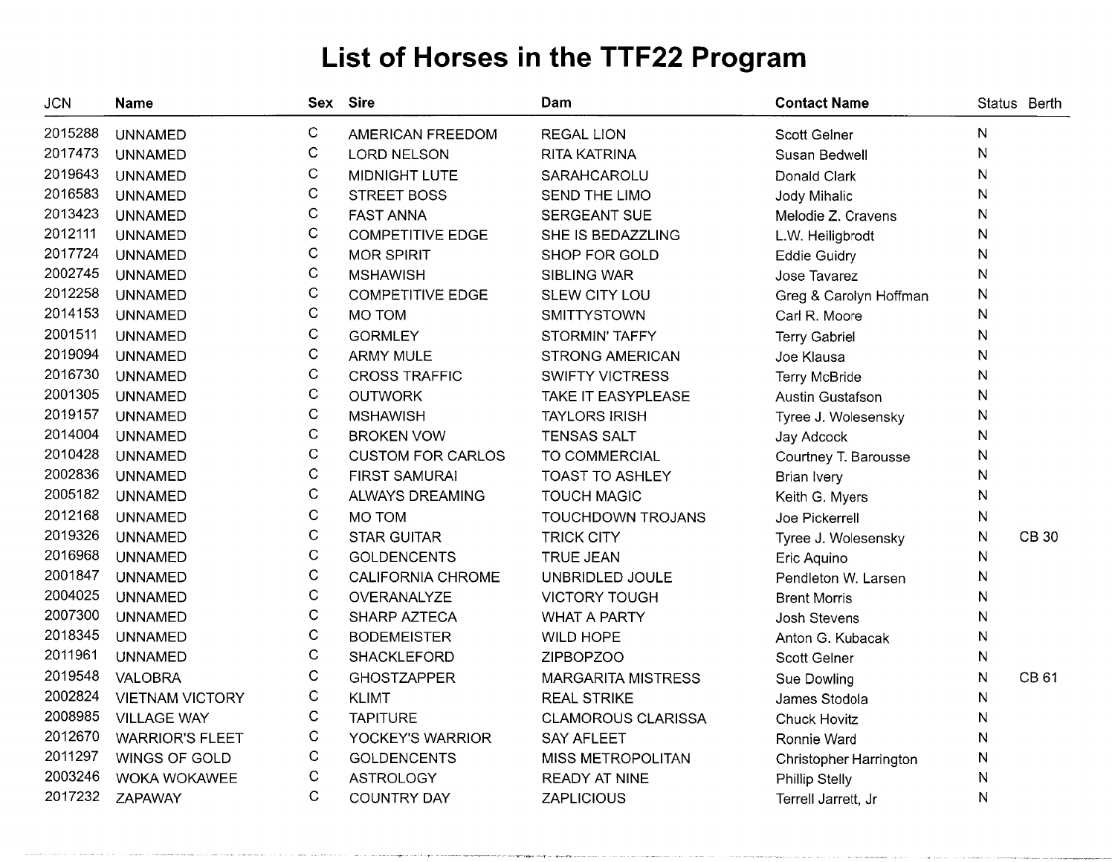| <b>JCN</b> | <b>Name</b>            |              | Sex Sire                 | Dam                       | <b>Contact Name</b>           | Status Berth |              |
|------------|------------------------|--------------|--------------------------|---------------------------|-------------------------------|--------------|--------------|
| 2015288    | <b>UNNAMED</b>         | C            | AMERICAN FREEDOM         | <b>REGAL LION</b>         | Scott Gelner                  | N            |              |
| 2017473    | <b>UNNAMED</b>         | $\mathsf C$  | <b>LORD NELSON</b>       | <b>RITA KATRINA</b>       | Susan Bedwell                 | N            |              |
| 2019643    | <b>UNNAMED</b>         | $\mathsf C$  | MIDNIGHT LUTE            | SARAHCAROLU               | Donald Clark                  | ${\sf N}$    |              |
| 2016583    | <b>UNNAMED</b>         | $\mathbf C$  | <b>STREET BOSS</b>       | SEND THE LIMO             | Jody Mihalic                  | N            |              |
| 2013423    | <b>UNNAMED</b>         | $\mathsf C$  | <b>FAST ANNA</b>         | <b>SERGEANT SUE</b>       | Melodie Z. Cravens            | N            |              |
| 2012111    | <b>UNNAMED</b>         | $\mathbf C$  | <b>COMPETITIVE EDGE</b>  | SHE IS BEDAZZLING         | L.W. Heiligbrodt              | N            |              |
| 2017724    | <b>UNNAMED</b>         | $\mathsf C$  | <b>MOR SPIRIT</b>        | SHOP FOR GOLD             | <b>Eddie Guidry</b>           | N            |              |
| 2002745    | <b>UNNAMED</b>         | $\mathbf C$  | <b>MSHAWISH</b>          | <b>SIBLING WAR</b>        | Jose Tavarez                  | N            |              |
| 2012258    | <b>UNNAMED</b>         | $\mathsf{C}$ | <b>COMPETITIVE EDGE</b>  | SLEW CITY LOU             | Greg & Carolyn Hoffman        | N            |              |
| 2014153    | <b>UNNAMED</b>         | $\mathsf{C}$ | MO TOM                   | <b>SMITTYSTOWN</b>        | Carl R. Moore                 | N            |              |
| 2001511    | <b>UNNAMED</b>         | $\mathbf C$  | <b>GORMLEY</b>           | STORMIN' TAFFY            | <b>Terry Gabriel</b>          | N            |              |
| 2019094    | <b>UNNAMED</b>         | $\mathsf C$  | <b>ARMY MULE</b>         | <b>STRONG AMERICAN</b>    | Joe Klausa                    | N            |              |
| 2016730    | <b>UNNAMED</b>         | $\mathbf C$  | <b>CROSS TRAFFIC</b>     | <b>SWIFTY VICTRESS</b>    | Terry McBride                 | $\mathsf{N}$ |              |
| 2001305    | <b>UNNAMED</b>         | С            | <b>OUTWORK</b>           | TAKE IT EASYPLEASE        | <b>Austin Gustafson</b>       | N            |              |
| 2019157    | <b>UNNAMED</b>         | $\mathsf C$  | <b>MSHAWISH</b>          | <b>TAYLORS IRISH</b>      | Tyree J. Wolesensky           | N            |              |
| 2014004    | <b>UNNAMED</b>         | $\mathsf C$  | <b>BROKEN VOW</b>        | <b>TENSAS SALT</b>        | Jay Adcock                    | N            |              |
| 2010428    | <b>UNNAMED</b>         | С            | <b>CUSTOM FOR CARLOS</b> | TO COMMERCIAL             | Courtney T. Barousse          | N            |              |
| 2002836    | <b>UNNAMED</b>         | $\mathsf C$  | <b>FIRST SAMURAI</b>     | <b>TOAST TO ASHLEY</b>    | <b>Brian Ivery</b>            | N            |              |
| 2005182    | <b>UNNAMED</b>         | С            | ALWAYS DREAMING          | <b>TOUCH MAGIC</b>        | Keith G. Myers                | N            |              |
| 2012168    | <b>UNNAMED</b>         | C            | MO TOM                   | TOUCHDOWN TROJANS         | Joe Pickerrell                | N            |              |
| 2019326    | <b>UNNAMED</b>         | С            | <b>STAR GUITAR</b>       | <b>TRICK CITY</b>         | Tyree J. Wolesensky           | N            | <b>CB 30</b> |
| 2016968    | <b>UNNAMED</b>         | $\mathbf C$  | <b>GOLDENCENTS</b>       | <b>TRUE JEAN</b>          | Eric Aquino                   | N            |              |
| 2001847    | <b>UNNAMED</b>         | $\mathsf C$  | <b>CALIFORNIA CHROME</b> | UNBRIDLED JOULE           | Pendleton W. Larsen           | N            |              |
| 2004025    | <b>UNNAMED</b>         | C            | OVERANALYZE              | <b>VICTORY TOUGH</b>      | <b>Brent Morris</b>           | N            |              |
| 2007300    | <b>UNNAMED</b>         | С            | <b>SHARP AZTECA</b>      | <b>WHAT A PARTY</b>       | <b>Josh Stevens</b>           | N            |              |
| 2018345    | <b>UNNAMED</b>         | C            | <b>BODEMEISTER</b>       | <b>WILD HOPE</b>          | Anton G. Kubacak              | N            |              |
| 2011961    | <b>UNNAMED</b>         | С            | <b>SHACKLEFORD</b>       | <b>ZIPBOPZOO</b>          | <b>Scott Gelner</b>           | N            |              |
| 2019548    | <b>VALOBRA</b>         | С            | <b>GHOSTZAPPER</b>       | <b>MARGARITA MISTRESS</b> | Sue Dowling                   | N            | <b>CB 61</b> |
| 2002824    | <b>VIETNAM VICTORY</b> | С            | <b>KLIMT</b>             | <b>REAL STRIKE</b>        | James Stodola                 | N            |              |
| 2008985    | <b>VILLAGE WAY</b>     | $\mathsf{C}$ | <b>TAPITURE</b>          | <b>CLAMOROUS CLARISSA</b> | <b>Chuck Hovitz</b>           | N            |              |
| 2012670    | <b>WARRIOR'S FLEET</b> | $\mathsf C$  | YOCKEY'S WARRIOR         | <b>SAY AFLEET</b>         | Ronnie Ward                   | N            |              |
| 2011297    | WINGS OF GOLD          | C            | <b>GOLDENCENTS</b>       | MISS METROPOLITAN         | <b>Christopher Harrington</b> | N            |              |
| 2003246    | <b>WOKA WOKAWEE</b>    | С            | <b>ASTROLOGY</b>         | <b>READY AT NINE</b>      | <b>Phillip Stelly</b>         | N            |              |
| 2017232    | ZAPAWAY                | $\mathbf C$  | COUNTRY DAY              | <b>ZAPLICIOUS</b>         | Terrell Jarrett, Jr           | $\mathsf{N}$ |              |